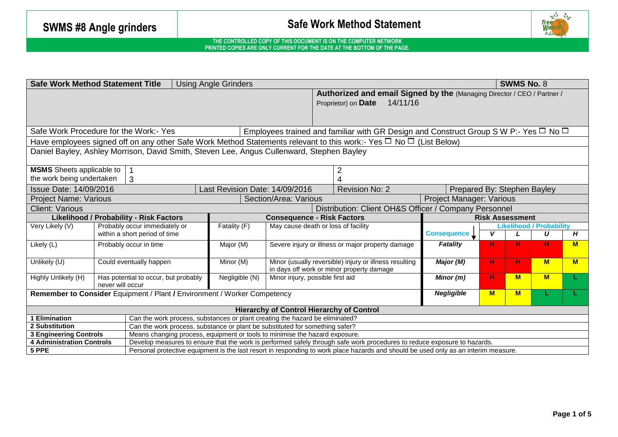# **SWMS #8 Angle grinders Safe Work Method Statement**



|                                                                                                                                                              | <b>Safe Work Method Statement Title</b>                                                                                      | <b>Using Angle Grinders</b>    |                                                                                                     |                                                                                     |                             |                          | <b>SWMS No. 8</b>                    |          |  |  |
|--------------------------------------------------------------------------------------------------------------------------------------------------------------|------------------------------------------------------------------------------------------------------------------------------|--------------------------------|-----------------------------------------------------------------------------------------------------|-------------------------------------------------------------------------------------|-----------------------------|--------------------------|--------------------------------------|----------|--|--|
|                                                                                                                                                              |                                                                                                                              |                                | Proprietor) on Date                                                                                 | Authorized and email Signed by the (Managing Director / CEO / Partner /<br>14/11/16 |                             |                          |                                      |          |  |  |
| Safe Work Procedure for the Work:- Yes<br>Employees trained and familiar with GR Design and Construct Group S W P:- Yes $\Box$ No $\Box$                     |                                                                                                                              |                                |                                                                                                     |                                                                                     |                             |                          |                                      |          |  |  |
|                                                                                                                                                              | Have employees signed off on any other Safe Work Method Statements relevant to this work:- Yes $\Box$ No $\Box$ (List Below) |                                |                                                                                                     |                                                                                     |                             |                          |                                      |          |  |  |
| Daniel Bayley, Ashley Morrison, David Smith, Steven Lee, Angus Cullenward, Stephen Bayley                                                                    |                                                                                                                              |                                |                                                                                                     |                                                                                     |                             |                          |                                      |          |  |  |
| <b>MSMS</b> Sheets applicable to                                                                                                                             |                                                                                                                              |                                | 2                                                                                                   |                                                                                     |                             |                          |                                      |          |  |  |
| the work being undertaken                                                                                                                                    | 3                                                                                                                            |                                |                                                                                                     |                                                                                     |                             |                          |                                      |          |  |  |
| Issue Date: 14/09/2016                                                                                                                                       |                                                                                                                              | Last Revision Date: 14/09/2016 |                                                                                                     | <b>Revision No: 2</b>                                                               | Prepared By: Stephen Bayley |                          |                                      |          |  |  |
| Section/Area: Various<br><b>Project Name: Various</b>                                                                                                        |                                                                                                                              |                                |                                                                                                     |                                                                                     |                             | Project Manager: Various |                                      |          |  |  |
| Distribution: Client OH&S Officer / Company Personnel<br><b>Client: Various</b>                                                                              |                                                                                                                              |                                |                                                                                                     |                                                                                     |                             |                          |                                      |          |  |  |
| Likelihood / Probability - Risk Factors<br><b>Consequence - Risk Factors</b>                                                                                 |                                                                                                                              |                                |                                                                                                     |                                                                                     | <b>Risk Assessment</b>      |                          |                                      |          |  |  |
| Very Likely (V)                                                                                                                                              | Probably occur immediately or<br>within a short period of time                                                               | Fatality (F)                   | May cause death or loss of facility                                                                 | <b>Consequence</b>                                                                  | V                           |                          | <b>Likelihood / Probability</b><br>U | H        |  |  |
| $\overline{\mathsf{Lik}}$ ely (L)                                                                                                                            | Probably occur in time                                                                                                       | Major (M)                      | Severe injury or illness or major property damage                                                   | <b>Fatality</b>                                                                     | н                           | н                        | н                                    | <b>M</b> |  |  |
| Unlikely (U)                                                                                                                                                 | Could eventually happen                                                                                                      | Minor (M)                      | Minor (usually reversible) injury or illness resulting<br>in days off work or minor property damage | Major (M)                                                                           | H.                          | н                        | $M$                                  | <b>M</b> |  |  |
| Highly Unlikely (H)                                                                                                                                          | Has potential to occur, but probably<br>never will occur                                                                     | Negligible (N)                 | Minor injury, possible first aid                                                                    | Minor (m)                                                                           | н.                          | M                        | $M$                                  |          |  |  |
| <b>Negligible</b><br>$M$<br>M<br><b>Remember to Consider</b> Equipment / Plant / Environment / Worker Competency                                             |                                                                                                                              |                                |                                                                                                     |                                                                                     |                             |                          |                                      |          |  |  |
| <b>Hierarchy of Control Hierarchy of Control</b>                                                                                                             |                                                                                                                              |                                |                                                                                                     |                                                                                     |                             |                          |                                      |          |  |  |
| 1 Elimination<br>Can the work process, substances or plant creating the hazard be eliminated?                                                                |                                                                                                                              |                                |                                                                                                     |                                                                                     |                             |                          |                                      |          |  |  |
| Can the work process, substance or plant be substituted for something safer?<br>2 Substitution                                                               |                                                                                                                              |                                |                                                                                                     |                                                                                     |                             |                          |                                      |          |  |  |
|                                                                                                                                                              | Means changing process, equipment or tools to minimise the hazard exposure.<br><b>3 Engineering Controls</b>                 |                                |                                                                                                     |                                                                                     |                             |                          |                                      |          |  |  |
| <b>4 Administration Controls</b><br>Develop measures to ensure that the work is performed safely through safe work procedures to reduce exposure to hazards. |                                                                                                                              |                                |                                                                                                     |                                                                                     |                             |                          |                                      |          |  |  |
| 5 PPE<br>Personal protective equipment is the last resort in responding to work place hazards and should be used only as an interim measure.                 |                                                                                                                              |                                |                                                                                                     |                                                                                     |                             |                          |                                      |          |  |  |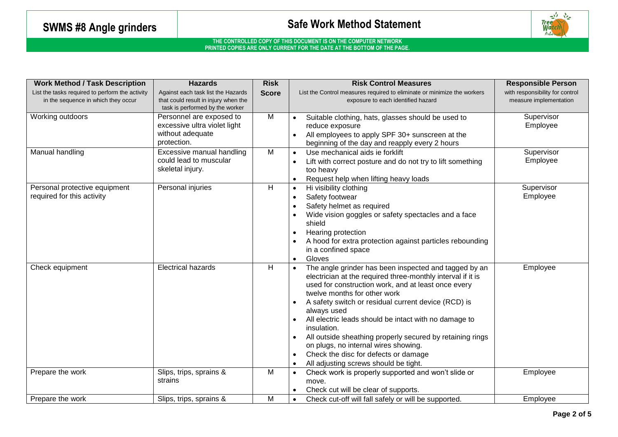### SWMS #8 Angle grinders **SAFF Angle Statement** Safe Work Method Statement



| <b>Work Method / Task Description</b>                                                  | <b>Hazards</b>                                                                                                | <b>Risk</b>  | <b>Risk Control Measures</b>                                                                                                                                                                                                                                                                                                                                                                                                                                                                                                                                              | <b>Responsible Person</b>                                 |
|----------------------------------------------------------------------------------------|---------------------------------------------------------------------------------------------------------------|--------------|---------------------------------------------------------------------------------------------------------------------------------------------------------------------------------------------------------------------------------------------------------------------------------------------------------------------------------------------------------------------------------------------------------------------------------------------------------------------------------------------------------------------------------------------------------------------------|-----------------------------------------------------------|
| List the tasks required to perform the activity<br>in the sequence in which they occur | Against each task list the Hazards<br>that could result in injury when the<br>task is performed by the worker | <b>Score</b> | List the Control measures required to eliminate or minimize the workers<br>exposure to each identified hazard                                                                                                                                                                                                                                                                                                                                                                                                                                                             | with responsibility for control<br>measure implementation |
| Working outdoors                                                                       | Personnel are exposed to<br>excessive ultra violet light<br>without adequate<br>protection.                   | M            | Suitable clothing, hats, glasses should be used to<br>reduce exposure<br>All employees to apply SPF 30+ sunscreen at the<br>beginning of the day and reapply every 2 hours                                                                                                                                                                                                                                                                                                                                                                                                | Supervisor<br>Employee                                    |
| Manual handling                                                                        | Excessive manual handling<br>could lead to muscular<br>skeletal injury.                                       | M            | Use mechanical aids ie forklift<br>$\bullet$<br>Lift with correct posture and do not try to lift something<br>too heavy<br>Request help when lifting heavy loads<br>$\bullet$                                                                                                                                                                                                                                                                                                                                                                                             | Supervisor<br>Employee                                    |
| Personal protective equipment<br>required for this activity                            | Personal injuries                                                                                             | Н            | Hi visibility clothing<br>$\bullet$<br>Safety footwear<br>$\bullet$<br>Safety helmet as required<br>Wide vision goggles or safety spectacles and a face<br>shield<br>Hearing protection<br>$\bullet$<br>A hood for extra protection against particles rebounding<br>in a confined space<br>Gloves                                                                                                                                                                                                                                                                         | Supervisor<br>Employee                                    |
| Check equipment                                                                        | <b>Electrical hazards</b>                                                                                     | H            | The angle grinder has been inspected and tagged by an<br>electrician at the required three-monthly interval if it is<br>used for construction work, and at least once every<br>twelve months for other work<br>A safety switch or residual current device (RCD) is<br>always used<br>All electric leads should be intact with no damage to<br>insulation.<br>All outside sheathing properly secured by retaining rings<br>$\bullet$<br>on plugs, no internal wires showing.<br>Check the disc for defects or damage<br>$\bullet$<br>All adjusting screws should be tight. | Employee                                                  |
| Prepare the work                                                                       | Slips, trips, sprains &<br>strains                                                                            | M            | Check work is properly supported and won't slide or<br>$\bullet$<br>move.<br>Check cut will be clear of supports.                                                                                                                                                                                                                                                                                                                                                                                                                                                         | Employee                                                  |
| Prepare the work                                                                       | Slips, trips, sprains &                                                                                       | M            | Check cut-off will fall safely or will be supported.<br>$\bullet$                                                                                                                                                                                                                                                                                                                                                                                                                                                                                                         | Employee                                                  |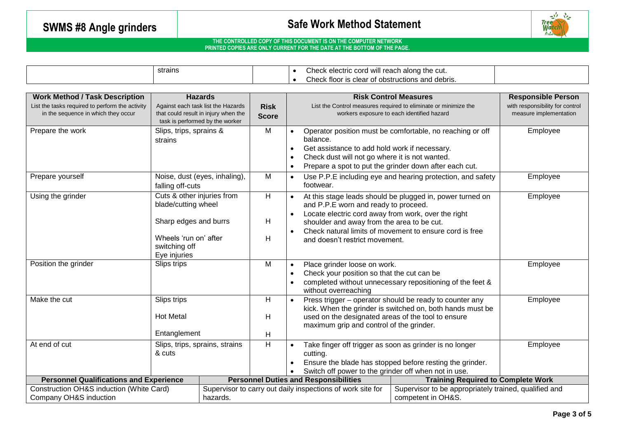# **SWMS #8 Angle grinders Safe Work Method Statement**



|                                                 | strains                                           |                                                                         |                                                            | $\bullet$                                                                                         | Check electric cord will reach along the cut.            |                                                                 |                                 |
|-------------------------------------------------|---------------------------------------------------|-------------------------------------------------------------------------|------------------------------------------------------------|---------------------------------------------------------------------------------------------------|----------------------------------------------------------|-----------------------------------------------------------------|---------------------------------|
|                                                 |                                                   |                                                                         |                                                            |                                                                                                   | Check floor is clear of obstructions and debris.         |                                                                 |                                 |
|                                                 |                                                   |                                                                         |                                                            |                                                                                                   |                                                          |                                                                 |                                 |
| <b>Work Method / Task Description</b>           |                                                   | <b>Hazards</b>                                                          |                                                            |                                                                                                   |                                                          | <b>Risk Control Measures</b>                                    | <b>Responsible Person</b>       |
| List the tasks required to perform the activity |                                                   | Against each task list the Hazards                                      | <b>Risk</b>                                                |                                                                                                   |                                                          | List the Control measures required to eliminate or minimize the | with responsibility for control |
| in the sequence in which they occur             |                                                   | that could result in injury when the<br>task is performed by the worker | <b>Score</b>                                               |                                                                                                   |                                                          | workers exposure to each identified hazard                      | measure implementation          |
| Prepare the work                                | Slips, trips, sprains &                           |                                                                         | M                                                          |                                                                                                   |                                                          | Operator position must be comfortable, no reaching or off       | Employee                        |
|                                                 | strains                                           |                                                                         |                                                            |                                                                                                   | balance.                                                 |                                                                 |                                 |
|                                                 |                                                   |                                                                         |                                                            | $\bullet$                                                                                         | Get assistance to add hold work if necessary.            |                                                                 |                                 |
|                                                 |                                                   |                                                                         |                                                            | $\bullet$                                                                                         | Check dust will not go where it is not wanted.           |                                                                 |                                 |
|                                                 |                                                   |                                                                         |                                                            | $\bullet$                                                                                         | Prepare a spot to put the grinder down after each cut.   |                                                                 |                                 |
| Prepare yourself                                |                                                   | Noise, dust (eyes, inhaling),                                           | M                                                          | $\bullet$                                                                                         |                                                          | Use P.P.E including eye and hearing protection, and safety      | Employee                        |
|                                                 | falling off-cuts                                  |                                                                         |                                                            |                                                                                                   | footwear.                                                |                                                                 |                                 |
| Using the grinder                               | Cuts & other injuries from<br>blade/cutting wheel |                                                                         | $\overline{H}$                                             | At this stage leads should be plugged in, power turned on<br>and P.P.E worn and ready to proceed. |                                                          | Employee                                                        |                                 |
|                                                 |                                                   |                                                                         |                                                            |                                                                                                   | Locate electric cord away from work, over the right      |                                                                 |                                 |
|                                                 | Sharp edges and burrs                             |                                                                         | H                                                          | shoulder and away from the area to be cut.                                                        |                                                          |                                                                 |                                 |
|                                                 |                                                   |                                                                         |                                                            |                                                                                                   | Check natural limits of movement to ensure cord is free  |                                                                 |                                 |
|                                                 | Wheels 'run on' after                             |                                                                         | H                                                          |                                                                                                   | and doesn't restrict movement.                           |                                                                 |                                 |
|                                                 | switching off                                     |                                                                         |                                                            |                                                                                                   |                                                          |                                                                 |                                 |
|                                                 | Eye injuries                                      |                                                                         |                                                            |                                                                                                   |                                                          |                                                                 |                                 |
| Position the grinder<br>Slips trips             |                                                   |                                                                         | M                                                          | $\bullet$                                                                                         | Place grinder loose on work.                             |                                                                 | Employee                        |
|                                                 |                                                   |                                                                         |                                                            | Check your position so that the cut can be<br>$\bullet$                                           |                                                          |                                                                 |                                 |
|                                                 |                                                   |                                                                         |                                                            | completed without unnecessary repositioning of the feet &                                         |                                                          |                                                                 |                                 |
|                                                 |                                                   |                                                                         |                                                            |                                                                                                   | without overreaching                                     |                                                                 |                                 |
| Make the cut<br>Slips trips                     |                                                   |                                                                         | H                                                          |                                                                                                   |                                                          | Press trigger - operator should be ready to counter any         | Employee                        |
|                                                 | <b>Hot Metal</b>                                  |                                                                         |                                                            |                                                                                                   |                                                          | kick. When the grinder is switched on, both hands must be       |                                 |
|                                                 |                                                   |                                                                         | H                                                          | used on the designated areas of the tool to ensure                                                |                                                          |                                                                 |                                 |
|                                                 |                                                   |                                                                         |                                                            | maximum grip and control of the grinder.                                                          |                                                          |                                                                 |                                 |
|                                                 | Entanglement                                      |                                                                         | H                                                          |                                                                                                   |                                                          |                                                                 |                                 |
| At end of cut<br>Slips, trips, sprains, strains |                                                   | H                                                                       |                                                            | Take finger off trigger as soon as grinder is no longer                                           |                                                          | Employee                                                        |                                 |
|                                                 | & cuts                                            |                                                                         |                                                            | cutting.                                                                                          |                                                          |                                                                 |                                 |
|                                                 |                                                   |                                                                         |                                                            | $\bullet$                                                                                         | Ensure the blade has stopped before resting the grinder. |                                                                 |                                 |
|                                                 |                                                   |                                                                         |                                                            | Switch off power to the grinder off when not in use.                                              |                                                          |                                                                 |                                 |
| <b>Personnel Qualifications and Experience</b>  |                                                   |                                                                         |                                                            | <b>Personnel Duties and Responsibilities</b>                                                      |                                                          | <b>Training Required to Complete Work</b>                       |                                 |
| Construction OH&S induction (White Card)        |                                                   |                                                                         | Supervisor to carry out daily inspections of work site for |                                                                                                   |                                                          | Supervisor to be appropriately trained, qualified and           |                                 |
| Company OH&S induction                          |                                                   | hazards.                                                                |                                                            |                                                                                                   |                                                          | competent in OH&S.                                              |                                 |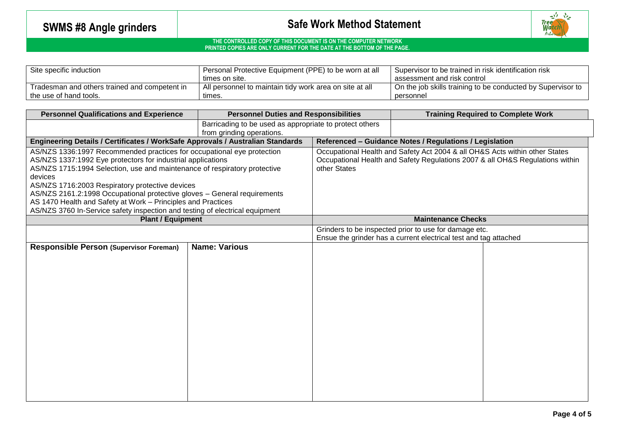# **SWMS #8 Angle grinders SWMS #8 Angle grinders Safe Work Method Statement**



| Site specific induction                       | Personal Protective Equipment (PPE) to be worn at all   | <sup>1</sup> Supervisor to be trained in risk identification risk |  |  |
|-----------------------------------------------|---------------------------------------------------------|-------------------------------------------------------------------|--|--|
|                                               | times on site.                                          | assessment and risk control                                       |  |  |
| Tradesman and others trained and competent in | All personnel to maintain tidy work area on site at all | On the job skills training to be conducted by Supervisor to       |  |  |
| I the use of hand tools.                      | tımes.                                                  | personnel                                                         |  |  |

| <b>Personnel Qualifications and Experience</b>                                 | <b>Personnel Duties and Responsibilities</b>            |                                                         | <b>Training Required to Complete Work</b>                                   |                                                                               |  |
|--------------------------------------------------------------------------------|---------------------------------------------------------|---------------------------------------------------------|-----------------------------------------------------------------------------|-------------------------------------------------------------------------------|--|
|                                                                                | Barricading to be used as appropriate to protect others |                                                         |                                                                             |                                                                               |  |
|                                                                                | from grinding operations.                               |                                                         |                                                                             |                                                                               |  |
| Engineering Details / Certificates / WorkSafe Approvals / Australian Standards |                                                         | Referenced - Guidance Notes / Regulations / Legislation |                                                                             |                                                                               |  |
| AS/NZS 1336:1997 Recommended practices for occupational eye protection         |                                                         |                                                         | Occupational Health and Safety Act 2004 & all OH&S Acts within other States |                                                                               |  |
| AS/NZS 1337:1992 Eye protectors for industrial applications                    |                                                         |                                                         |                                                                             | Occupational Health and Safety Regulations 2007 & all OH&S Regulations within |  |
| AS/NZS 1715:1994 Selection, use and maintenance of respiratory protective      |                                                         | other States                                            |                                                                             |                                                                               |  |
| devices                                                                        |                                                         |                                                         |                                                                             |                                                                               |  |
| AS/NZS 1716:2003 Respiratory protective devices                                |                                                         |                                                         |                                                                             |                                                                               |  |
| AS/NZS 2161.2:1998 Occupational protective gloves - General requirements       |                                                         |                                                         |                                                                             |                                                                               |  |
| AS 1470 Health and Safety at Work - Principles and Practices                   |                                                         |                                                         |                                                                             |                                                                               |  |
| AS/NZS 3760 In-Service safety inspection and testing of electrical equipment   |                                                         |                                                         |                                                                             |                                                                               |  |
| <b>Plant / Equipment</b>                                                       |                                                         |                                                         | <b>Maintenance Checks</b>                                                   |                                                                               |  |
|                                                                                |                                                         |                                                         | Grinders to be inspected prior to use for damage etc.                       |                                                                               |  |
|                                                                                |                                                         |                                                         | Ensue the grinder has a current electrical test and tag attached            |                                                                               |  |
| <b>Responsible Person (Supervisor Foreman)</b>                                 | <b>Name: Various</b>                                    |                                                         |                                                                             |                                                                               |  |
|                                                                                |                                                         |                                                         |                                                                             |                                                                               |  |
|                                                                                |                                                         |                                                         |                                                                             |                                                                               |  |
|                                                                                |                                                         |                                                         |                                                                             |                                                                               |  |
|                                                                                |                                                         |                                                         |                                                                             |                                                                               |  |
|                                                                                |                                                         |                                                         |                                                                             |                                                                               |  |
|                                                                                |                                                         |                                                         |                                                                             |                                                                               |  |
|                                                                                |                                                         |                                                         |                                                                             |                                                                               |  |
|                                                                                |                                                         |                                                         |                                                                             |                                                                               |  |
|                                                                                |                                                         |                                                         |                                                                             |                                                                               |  |
|                                                                                |                                                         |                                                         |                                                                             |                                                                               |  |
|                                                                                |                                                         |                                                         |                                                                             |                                                                               |  |
|                                                                                |                                                         |                                                         |                                                                             |                                                                               |  |
|                                                                                |                                                         |                                                         |                                                                             |                                                                               |  |
|                                                                                |                                                         |                                                         |                                                                             |                                                                               |  |
|                                                                                |                                                         |                                                         |                                                                             |                                                                               |  |
|                                                                                |                                                         |                                                         |                                                                             |                                                                               |  |
|                                                                                |                                                         |                                                         |                                                                             |                                                                               |  |
|                                                                                |                                                         |                                                         |                                                                             |                                                                               |  |